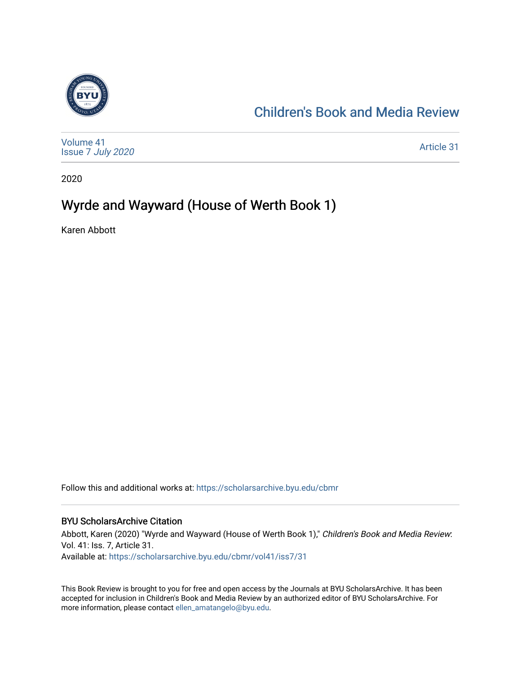

### [Children's Book and Media Review](https://scholarsarchive.byu.edu/cbmr)

| Volume 41<br>Issue 7 July 2020 | Article 31 |
|--------------------------------|------------|
|--------------------------------|------------|

2020

#### Wyrde and Wayward (House of Werth Book 1)

Karen Abbott

Follow this and additional works at: [https://scholarsarchive.byu.edu/cbmr](https://scholarsarchive.byu.edu/cbmr?utm_source=scholarsarchive.byu.edu%2Fcbmr%2Fvol41%2Fiss7%2F31&utm_medium=PDF&utm_campaign=PDFCoverPages) 

#### BYU ScholarsArchive Citation

Abbott, Karen (2020) "Wyrde and Wayward (House of Werth Book 1)," Children's Book and Media Review: Vol. 41: Iss. 7, Article 31. Available at: [https://scholarsarchive.byu.edu/cbmr/vol41/iss7/31](https://scholarsarchive.byu.edu/cbmr/vol41/iss7/31?utm_source=scholarsarchive.byu.edu%2Fcbmr%2Fvol41%2Fiss7%2F31&utm_medium=PDF&utm_campaign=PDFCoverPages)

This Book Review is brought to you for free and open access by the Journals at BYU ScholarsArchive. It has been accepted for inclusion in Children's Book and Media Review by an authorized editor of BYU ScholarsArchive. For more information, please contact [ellen\\_amatangelo@byu.edu.](mailto:ellen_amatangelo@byu.edu)